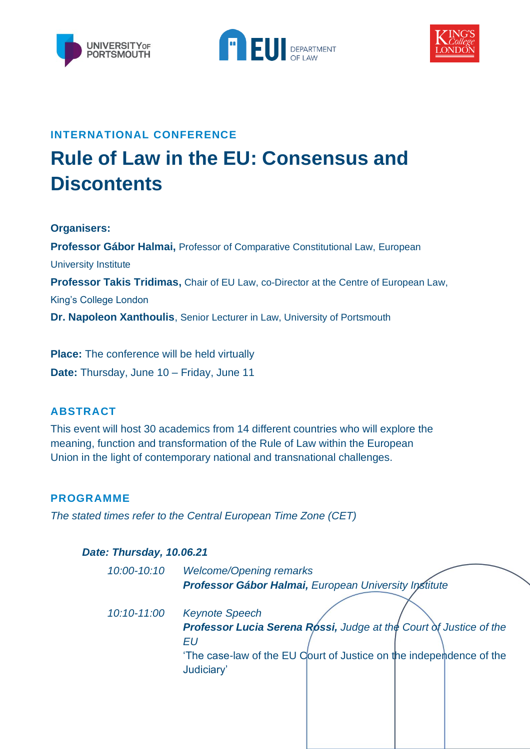





### **INTERNATIONAL CONFERENCE**

# **Rule of Law in the EU: Consensus and Discontents**

**Organisers:** 

**Professor Gábor Halmai,** Professor of Comparative Constitutional Law, European University Institute **Professor Takis Tridimas,** Chair of EU Law, co-Director at the Centre of European Law, King's College London **Dr. Napoleon Xanthoulis**, Senior Lecturer in Law, University of Portsmouth

**Place:** The conference will be held virtually **Date:** Thursday, June 10 – Friday, June 11

## **ABSTRACT**

This event will host 30 academics from 14 different countries who will explore the meaning, function and transformation of the Rule of Law within the European Union in the light of contemporary national and transnational challenges.

#### **PROGRAMME**

*The stated times refer to the Central European Time Zone (CET)*

#### *Date: Thursday, 10.06.21*

| 10:00-10:10 | <b>Welcome/Opening remarks</b>                                            |
|-------------|---------------------------------------------------------------------------|
|             | Professor Gábor Halmai, European University Institute                     |
|             |                                                                           |
| 10:10-11:00 | <b>Keynote Speech</b>                                                     |
|             | <b>Professor Lucia Serena Rossi, Judge at the Court of Justice of the</b> |
|             | ΕU                                                                        |
|             | 'The case-law of the EU Court of Justice on the independence of the       |
|             | Judiciary'                                                                |
|             |                                                                           |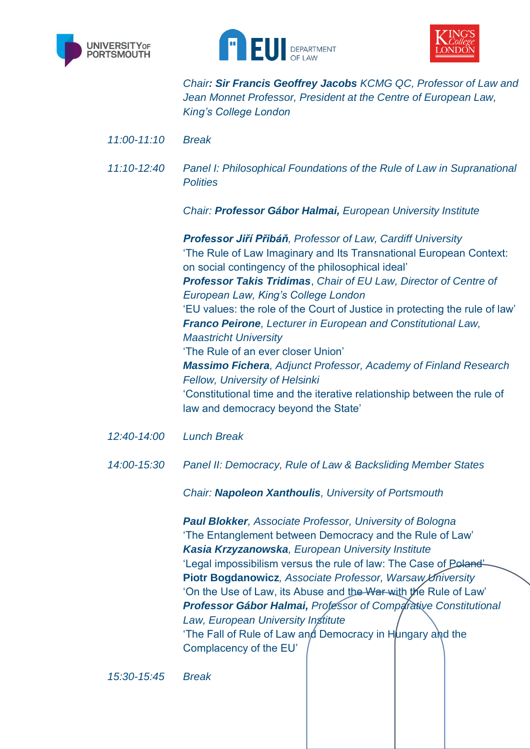





*Chair: Sir Francis Geoffrey Jacobs KCMG QC, Professor of Law and Jean Monnet Professor, President at the Centre of European Law, King's College London*

- *11:00-11:10 Break*
- *11:10-12:40 Panel I: Philosophical Foundations of the Rule of Law in Supranational Polities*

*Chair: Professor Gábor Halmai, European University Institute*

*Professor Jiří Přibáň, Professor of Law, Cardiff University* 'The Rule of Law Imaginary and Its Transnational European Context: on social contingency of the philosophical ideal' *Professor Takis Tridimas*, *Chair of EU Law, Director of Centre of European Law, King's College London* 'EU values: the role of the Court of Justice in protecting the rule of law' *Franco Peirone, Lecturer in European and Constitutional Law, Maastricht University* 'The Rule of an ever closer Union' *Massimo Fichera, Adjunct Professor, Academy of Finland Research Fellow, University of Helsinki* 'Constitutional time and the iterative relationship between the rule of law and democracy beyond the State'

- *12:40-14:00 Lunch Break*
- *14:00-15:30 Panel II: Democracy, Rule of Law & Backsliding Member States*

*Chair: Napoleon Xanthoulis, University of Portsmouth*

*Paul Blokker, Associate Professor, University of Bologna* 'The Entanglement between Democracy and the Rule of Law' *Kasia Krzyzanowska, European University Institute* 'Legal impossibilism versus the rule of law: The Case of Poland'-**Piotr Bogdanowicz***, Associate Professor, Warsaw University* 'On the Use of Law, its Abuse and the War with the Rule of Law' *Professor Gábor Halmai, Professor of Comparative Constitutional Law, European University Institute*  'The Fall of Rule of Law and Democracy in Hungary and the Complacency of the EU'

*15:30-15:45 Break*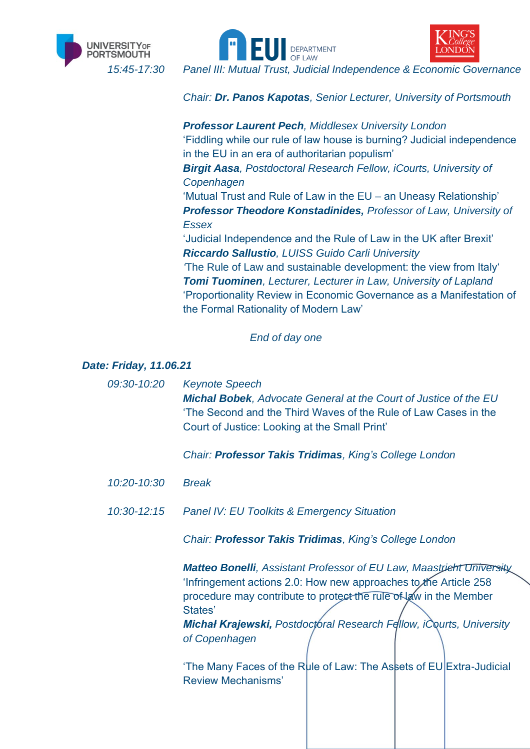





*15:45-17:30 Panel III: Mutual Trust, Judicial Independence & Economic Governance*

*Chair: Dr. Panos Kapotas, Senior Lecturer, University of Portsmouth*

*Professor Laurent Pech, Middlesex University London* 'Fiddling while our rule of law house is burning? Judicial independence in the EU in an era of authoritarian populism' *Birgit Aasa, Postdoctoral Research Fellow, iCourts, University of Copenhagen* 'Mutual Trust and Rule of Law in the EU – an Uneasy Relationship' *Professor Theodore Konstadinides, Professor of Law, University of Essex*  'Judicial Independence and the Rule of Law in the UK after Brexit' *Riccardo Sallustio, LUISS Guido Carli University '*The Rule of Law and sustainable development: the view from Italy' *Tomi Tuominen, Lecturer, Lecturer in Law, University of Lapland* 'Proportionality Review in Economic Governance as a Manifestation of the Formal Rationality of Modern Law'

#### *End of day one*

*Date: Friday, 11.06.21*

*09:30-10:20 Keynote Speech Michal Bobek, Advocate General at the Court of Justice of the EU* 'The Second and the Third Waves of the Rule of Law Cases in the Court of Justice: Looking at the Small Print'

*Chair: Professor Takis Tridimas, King's College London*

- *10:20-10:30 Break*
- *10:30-12:15 Panel IV: EU Toolkits & Emergency Situation*

*Chair: Professor Takis Tridimas, King's College London*

*Matteo Bonelli, Assistant Professor of EU Law, Maastricht University* 'Infringement actions 2.0: How new approaches to the Article 258 procedure may contribute to protect the rule of law in the Member States'

*Michał Krajewski, Postdoctoral Research Fellow, iCourts, University of Copenhagen*

'The Many Faces of the Rule of Law: The Assets of EU Extra-Judicial Review Mechanisms'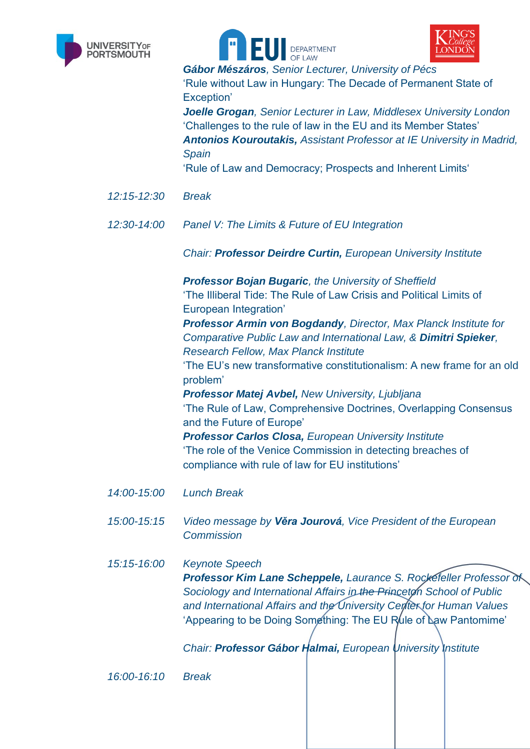





*Gábor Mészáros, Senior Lecturer, University of Pécs*

'Rule without Law in Hungary: The Decade of Permanent State of Exception'

*Joelle Grogan, Senior Lecturer in Law, Middlesex University London* 'Challenges to the rule of law in the EU and its Member States' *Antonios Kouroutakis, Assistant Professor at IE University in Madrid, Spain*

'Rule of Law and Democracy; Prospects and Inherent Limits'

- *12:15-12:30 Break*
- *12:30-14:00 Panel V: The Limits & Future of EU Integration*

*Chair: Professor Deirdre Curtin, European University Institute*

*Professor Bojan Bugaric, the University of Sheffield* 'The Illiberal Tide: The Rule of Law Crisis and Political Limits of European Integration'

*Professor Armin von Bogdandy, Director, Max Planck Institute for Comparative Public Law and International Law, & Dimitri Spieker, Research Fellow, Max Planck Institute*

'The EU's new transformative constitutionalism: A new frame for an old problem'

*Professor Matej Avbel, New University, Ljubljana* 'The Rule of Law, Comprehensive Doctrines, Overlapping Consensus and the Future of Europe' *Professor Carlos Closa, European University Institute* 'The role of the Venice Commission in detecting breaches of compliance with rule of law for EU institutions'

- *14:00-15:00 Lunch Break*
- *15:00-15:15 Video message by Věra Jourová, Vice President of the European Commission*

*15:15-16:00 Keynote Speech Professor Kim Lane Scheppele, Laurance S. Rockefeller Professor of Sociology and International Affairs in the Princeton School of Public and International Affairs and the University Center for Human Values* 'Appearing to be Doing Something: The EU Rule of Law Pantomime'

*Chair: Professor Gábor Halmai, European University Institute*

*16:00-16:10 Break*